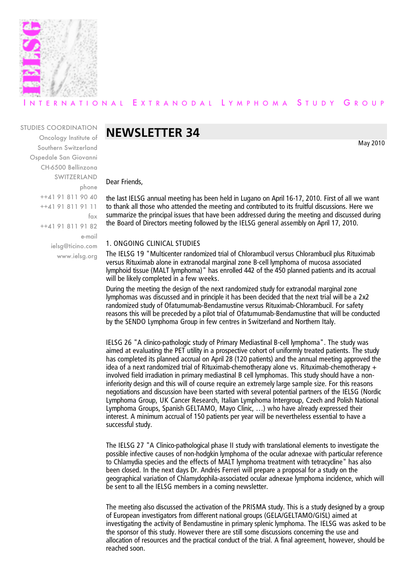

## ERNATIONAL EXTRANODAL LYMPHOMA STUDY GROUP

### STUDIES COORDINATION

Oncology Institute of Southern Switzerland Ospedale San Giovanni CH-6500 Bellinzona SWITZERLAND phone ++41 91 811 90 40 ++41 91 811 91 11 fax ++41 91 811 91 82 e-mail ielsg@ticino.com www.ielsg.org

# **NEWSLETTER 34**

May 2010

Dear Friends,

the last IELSG annual meeting has been held in Lugano on April 16-17, 2010. First of all we want to thank all those who attended the meeting and contributed to its fruitful discussions. Here we summarize the principal issues that have been addressed during the meeting and discussed during the Board of Directors meeting followed by the IELSG general assembly on April 17, 2010.

### 1. ONGOING CLINICAL STUDIES

The IELSG 19 "Multicenter randomized trial of Chlorambucil versus Chlorambucil plus Rituximab versus Rituximab alone in extranodal marginal zone B-cell lymphoma of mucosa associated lymphoid tissue (MALT lymphoma)" has enrolled 442 of the 450 planned patients and its accrual will be likely completed in a few weeks.

During the meeting the design of the next randomized study for extranodal marginal zone lymphomas was discussed and in principle it has been decided that the next trial will be a 2x2 randomized study of Ofatumumab-Bendamustine versus Rituximab-Chlorambucil. For safety reasons this will be preceded by a pilot trial of Ofatumumab-Bendamustine that will be conducted by the SENDO Lymphoma Group in few centres in Switzerland and Northern Italy.

IELSG 26 "A clinico-pathologic study of Primary Mediastinal B-cell lymphoma". The study was aimed at evaluating the PET utility in a prospective cohort of uniformly treated patients. The study has completed its planned accrual on April 28 (120 patients) and the annual meeting approved the idea of a next randomized trial of Rituximab-chemotherapy alone vs. Rituximab-chemotherapy + involved field irradiation in primary mediastinal B cell lymphomas. This study should have a noninferiority design and this will of course require an extremely large sample size. For this reasons negotiations and discussion have been started with several potential partners of the IELSG (Nordic Lymphoma Group, UK Cancer Research, Italian Lymphoma Intergroup, Czech and Polish National Lymphoma Groups, Spanish GELTAMO, Mayo Clinic, …) who have already expressed their interest. A minimum accrual of 150 patients per year will be nevertheless essential to have a successful study.

The IELSG 27 "A Clinico-pathological phase II study with translational elements to investigate the possible infective causes of non-hodgkin lymphoma of the ocular adnexae with particular reference to Chlamydia species and the effects of MALT lymphoma treatment with tetracycline" has also been closed. In the next days Dr. Andrés Ferreri will prepare a proposal for a study on the geographical variation of Chlamydophila-associated ocular adnexae lymphoma incidence, which will be sent to all the IELSG members in a coming newsletter.

The meeting also discussed the activation of the PRISMA study. This is a study designed by a group of European investigators from different national groups (GELA/GELTAMO/GISL) aimed at investigating the activity of Bendamustine in primary splenic lymphoma. The IELSG was asked to be the sponsor of this study. However there are still some discussions concerning the use and allocation of resources and the practical conduct of the trial. A final agreement, however, should be reached soon.